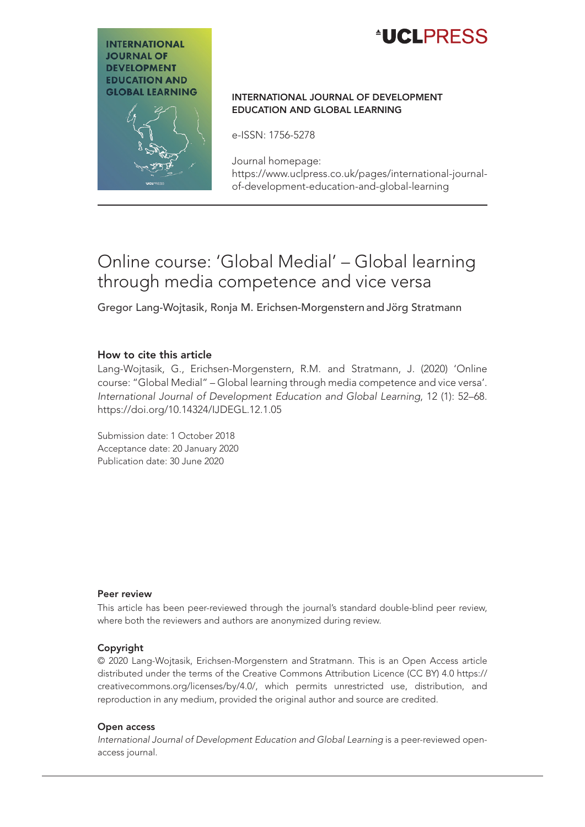

# **INTERNATIONAL JOURNAL OF DEVELOPMENT EDUCATION AND GLOBAL LEARNING**

#### International Journal of Development Education and Global Learning

e-ISSN: 1756-5278

Journal homepage: [https://www.uclpress.co.uk/pages/international-journal](https://www.uclpress.co.uk/pages/international-journal-of-development-education-and-global-learning)[of-development-education-and-global-learning](https://www.uclpress.co.uk/pages/international-journal-of-development-education-and-global-learning)

# Online course: 'Global Medial' – Global learning through media competence and vice versa

Gregor Lang-Wojtasik, Ronja M. Erichsen-Morgenstern and Jörg Stratmann

#### How to cite this article

Lang-Wojtasik, G., Erichsen-Morgenstern, R.M. and Stratmann, J. (2020) 'Online course: "Global Medial" – Global learning through media competence and vice versa'. *International Journal of Development Education and Global Learning*, 12 (1): 52–68. <https://doi.org/10.14324/IJDEGL.12.1.05>

Submission date: 1 October 2018 Acceptance date: 20 January 2020 Publication date: 30 June 2020

#### Peer review

This article has been peer-reviewed through the journal's standard double-blind peer review, where both the reviewers and authors are anonymized during review.

#### Copyright

© 2020 Lang-Wojtasik, Erichsen-Morgenstern and Stratmann. This is an Open Access article distributed under the terms of the Creative Commons Attribution Licence (CC BY) 4.0 [https://](https://creativecommons.org/licenses/by/4.0/) [creativecommons.org/licenses/by/4.0/](https://creativecommons.org/licenses/by/4.0/), which permits unrestricted use, distribution, and reproduction in any medium, provided the original author and source are credited.

#### Open access

*International Journal of Development Education and Global Learning is a peer-reviewed open*access journal.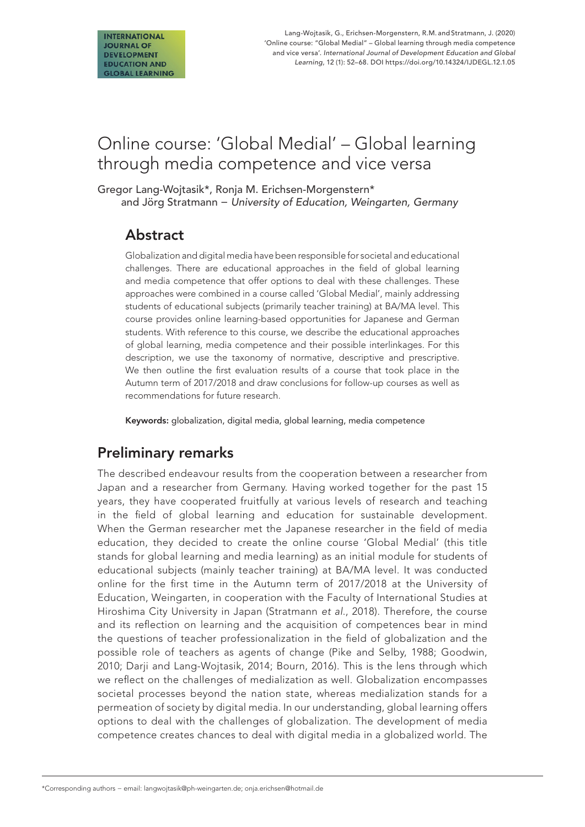# Online course: 'Global Medial' – Global learning through media competence and vice versa

Gregor Lang-Wojtasik\*, Ronja M. Erichsen-Morgenstern\* and Jörg Stratmann − *University of Education, Weingarten, Germany*

## Abstract

Globalization and digital media have been responsible for societal and educational challenges. There are educational approaches in the field of global learning and media competence that offer options to deal with these challenges. These approaches were combined in a course called 'Global Medial', mainly addressing students of educational subjects (primarily teacher training) at BA/MA level. This course provides online learning-based opportunities for Japanese and German students. With reference to this course, we describe the educational approaches of global learning, media competence and their possible interlinkages. For this description, we use the taxonomy of normative, descriptive and prescriptive. We then outline the first evaluation results of a course that took place in the Autumn term of 2017/2018 and draw conclusions for follow-up courses as well as recommendations for future research.

Keywords: globalization, digital media, global learning, media competence

# Preliminary remarks

The described endeavour results from the cooperation between a researcher from Japan and a researcher from Germany. Having worked together for the past 15 years, they have cooperated fruitfully at various levels of research and teaching in the field of global learning and education for sustainable development. When the German researcher met the Japanese researcher in the field of media education, they decided to create the online course 'Global Medial' (this title stands for global learning and media learning) as an initial module for students of educational subjects (mainly teacher training) at BA/MA level. It was conducted online for the first time in the Autumn term of 2017/2018 at the University of Education, Weingarten, in cooperation with the Faculty of International Studies at Hiroshima City University in Japan (Stratmann *et al*., 2018). Therefore, the course and its reflection on learning and the acquisition of competences bear in mind the questions of teacher professionalization in the field of globalization and the possible role of teachers as agents of change (Pike and Selby, 1988; Goodwin, 2010; Darji and Lang-Wojtasik, 2014; Bourn, 2016). This is the lens through which we reflect on the challenges of medialization as well. Globalization encompasses societal processes beyond the nation state, whereas medialization stands for a permeation of society by digital media. In our understanding, global learning offers options to deal with the challenges of globalization. The development of media competence creates chances to deal with digital media in a globalized world. The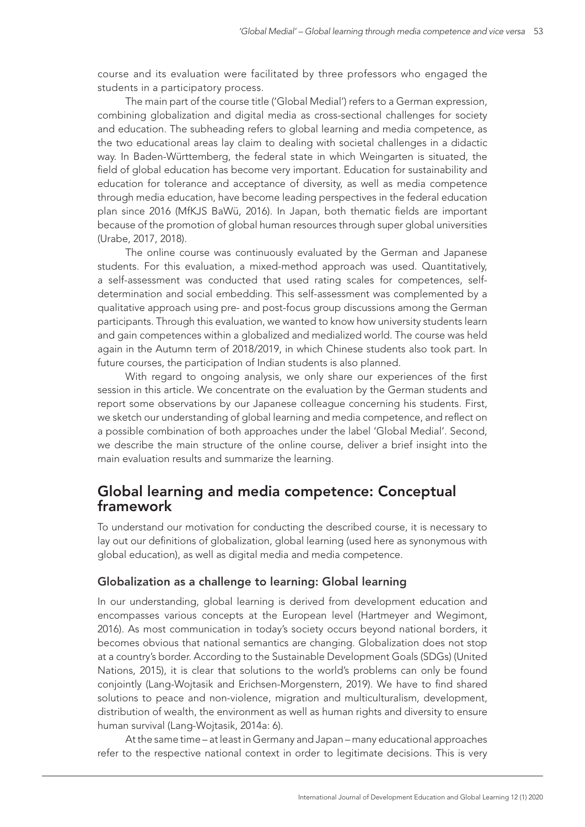course and its evaluation were facilitated by three professors who engaged the students in a participatory process.

The main part of the course title ('Global Medial') refers to a German expression, combining globalization and digital media as cross-sectional challenges for society and education. The subheading refers to global learning and media competence, as the two educational areas lay claim to dealing with societal challenges in a didactic way. In Baden-Württemberg, the federal state in which Weingarten is situated, the field of global education has become very important. Education for sustainability and education for tolerance and acceptance of diversity, as well as media competence through media education, have become leading perspectives in the federal education plan since 2016 (MfKJS BaWü, 2016). In Japan, both thematic fields are important because of the promotion of global human resources through super global universities (Urabe, 2017, 2018).

The online course was continuously evaluated by the German and Japanese students. For this evaluation, a mixed-method approach was used. Quantitatively, a self-assessment was conducted that used rating scales for competences, selfdetermination and social embedding. This self-assessment was complemented by a qualitative approach using pre- and post-focus group discussions among the German participants. Through this evaluation, we wanted to know how university students learn and gain competences within a globalized and medialized world. The course was held again in the Autumn term of 2018/2019, in which Chinese students also took part. In future courses, the participation of Indian students is also planned.

With regard to ongoing analysis, we only share our experiences of the first session in this article. We concentrate on the evaluation by the German students and report some observations by our Japanese colleague concerning his students. First, we sketch our understanding of global learning and media competence, and reflect on a possible combination of both approaches under the label 'Global Medial'. Second, we describe the main structure of the online course, deliver a brief insight into the main evaluation results and summarize the learning.

### Global learning and media competence: Conceptual framework

To understand our motivation for conducting the described course, it is necessary to lay out our definitions of globalization, global learning (used here as synonymous with global education), as well as digital media and media competence.

#### Globalization as a challenge to learning: Global learning

In our understanding, global learning is derived from development education and encompasses various concepts at the European level (Hartmeyer and Wegimont, 2016). As most communication in today's society occurs beyond national borders, it becomes obvious that national semantics are changing. Globalization does not stop at a country's border. According to the Sustainable Development Goals (SDGs) (United Nations, 2015), it is clear that solutions to the world's problems can only be found conjointly (Lang-Wojtasik and Erichsen-Morgenstern, 2019). We have to find shared solutions to peace and non-violence, migration and multiculturalism, development, distribution of wealth, the environment as well as human rights and diversity to ensure human survival (Lang-Wojtasik, 2014a: 6).

At the same time – at least in Germany and Japan – many educational approaches refer to the respective national context in order to legitimate decisions. This is very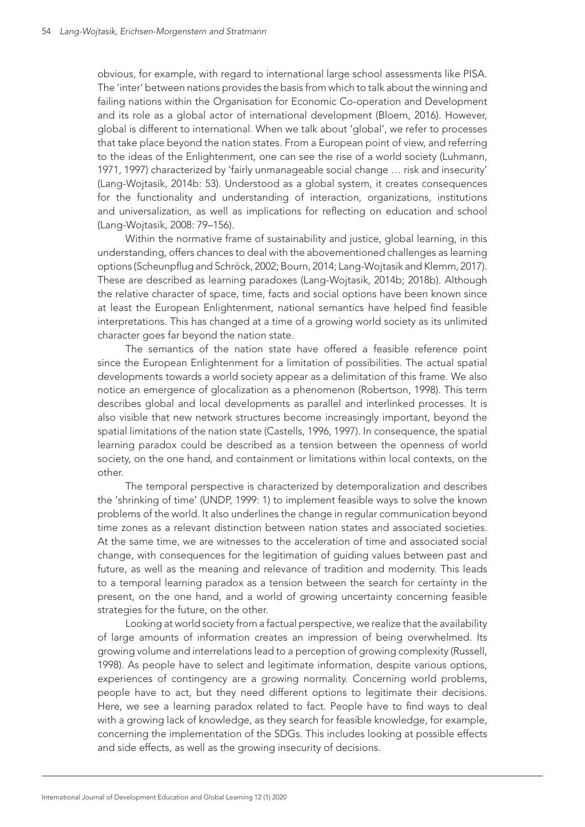obvious, for example, with regard to international large school assessments like PISA. The 'inter' between nations provides the basis from which to talk about the winning and failing nations within the Organisation for Economic Co-operation and Development and its role as a global actor of international development (Bloem, 2016). However, global is different to international. When we talk about 'global', we refer to processes that take place beyond the nation states. From a European point of view, and referring to the ideas of the Enlightenment, one can see the rise of a world society (Luhmann, 1971, 1997) characterized by 'fairly unmanageable social change … risk and insecurity' (Lang-Wojtasik, 2014b: 53). Understood as a global system, it creates consequences for the functionality and understanding of interaction, organizations, institutions and universalization, as well as implications for reflecting on education and school (Lang-Wojtasik, 2008: 79–156).

Within the normative frame of sustainability and justice, global learning, in this understanding, offers chances to deal with the abovementioned challenges as learning options (Scheunpflug and Schröck, 2002; Bourn, 2014; Lang-Wojtasik and Klemm, 2017). These are described as learning paradoxes (Lang-Wojtasik, 2014b; 2018b). Although the relative character of space, time, facts and social options have been known since at least the European Enlightenment, national semantics have helped find feasible interpretations. This has changed at a time of a growing world society as its unlimited character goes far beyond the nation state.

The semantics of the nation state have offered a feasible reference point since the European Enlightenment for a limitation of possibilities. The actual spatial developments towards a world society appear as a delimitation of this frame. We also notice an emergence of glocalization as a phenomenon (Robertson, 1998). This term describes global and local developments as parallel and interlinked processes. It is also visible that new network structures become increasingly important, beyond the spatial limitations of the nation state (Castells, 1996, 1997). In consequence, the spatial learning paradox could be described as a tension between the openness of world society, on the one hand, and containment or limitations within local contexts, on the other.

The temporal perspective is characterized by detemporalization and describes the 'shrinking of time' (UNDP, 1999: 1) to implement feasible ways to solve the known problems of the world. It also underlines the change in regular communication beyond time zones as a relevant distinction between nation states and associated societies. At the same time, we are witnesses to the acceleration of time and associated social change, with consequences for the legitimation of guiding values between past and future, as well as the meaning and relevance of tradition and modernity. This leads to a temporal learning paradox as a tension between the search for certainty in the present, on the one hand, and a world of growing uncertainty concerning feasible strategies for the future, on the other.

Looking at world society from a factual perspective, we realize that the availability of large amounts of information creates an impression of being overwhelmed. Its growing volume and interrelations lead to a perception of growing complexity (Russell, 1998). As people have to select and legitimate information, despite various options, experiences of contingency are a growing normality. Concerning world problems, people have to act, but they need different options to legitimate their decisions. Here, we see a learning paradox related to fact. People have to find ways to deal with a growing lack of knowledge, as they search for feasible knowledge, for example, concerning the implementation of the SDGs. This includes looking at possible effects and side effects, as well as the growing insecurity of decisions.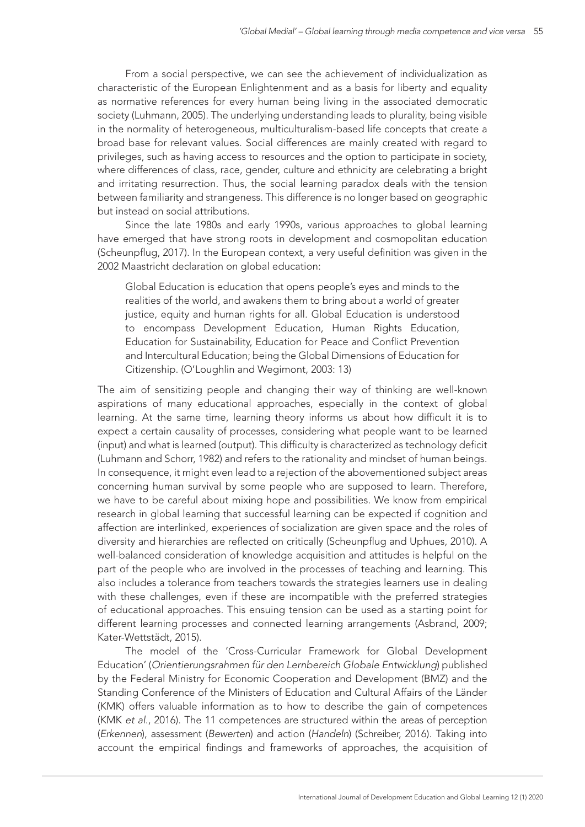From a social perspective, we can see the achievement of individualization as characteristic of the European Enlightenment and as a basis for liberty and equality as normative references for every human being living in the associated democratic society (Luhmann, 2005). The underlying understanding leads to plurality, being visible in the normality of heterogeneous, multiculturalism-based life concepts that create a broad base for relevant values. Social differences are mainly created with regard to privileges, such as having access to resources and the option to participate in society, where differences of class, race, gender, culture and ethnicity are celebrating a bright and irritating resurrection. Thus, the social learning paradox deals with the tension between familiarity and strangeness. This difference is no longer based on geographic but instead on social attributions.

Since the late 1980s and early 1990s, various approaches to global learning have emerged that have strong roots in development and cosmopolitan education (Scheunpflug, 2017). In the European context, a very useful definition was given in the 2002 Maastricht declaration on global education:

Global Education is education that opens people's eyes and minds to the realities of the world, and awakens them to bring about a world of greater justice, equity and human rights for all. Global Education is understood to encompass Development Education, Human Rights Education, Education for Sustainability, Education for Peace and Conflict Prevention and Intercultural Education; being the Global Dimensions of Education for Citizenship. (O'Loughlin and Wegimont, 2003: 13)

The aim of sensitizing people and changing their way of thinking are well-known aspirations of many educational approaches, especially in the context of global learning. At the same time, learning theory informs us about how difficult it is to expect a certain causality of processes, considering what people want to be learned (input) and what is learned (output). This difficulty is characterized as technology deficit (Luhmann and Schorr, 1982) and refers to the rationality and mindset of human beings. In consequence, it might even lead to a rejection of the abovementioned subject areas concerning human survival by some people who are supposed to learn. Therefore, we have to be careful about mixing hope and possibilities. We know from empirical research in global learning that successful learning can be expected if cognition and affection are interlinked, experiences of socialization are given space and the roles of diversity and hierarchies are reflected on critically (Scheunpflug and Uphues, 2010). A well-balanced consideration of knowledge acquisition and attitudes is helpful on the part of the people who are involved in the processes of teaching and learning. This also includes a tolerance from teachers towards the strategies learners use in dealing with these challenges, even if these are incompatible with the preferred strategies of educational approaches. This ensuing tension can be used as a starting point for different learning processes and connected learning arrangements (Asbrand, 2009; Kater-Wettstädt, 2015).

The model of the 'Cross-Curricular Framework for Global Development Education' (*Orientierungsrahmen für den Lernbereich Globale Entwicklung*) published by the Federal Ministry for Economic Cooperation and Development (BMZ) and the Standing Conference of the Ministers of Education and Cultural Affairs of the Länder (KMK) offers valuable information as to how to describe the gain of competences (KMK *et al*., 2016). The 11 competences are structured within the areas of perception (*Erkennen*), assessment (*Bewerten*) and action (*Handeln*) (Schreiber, 2016). Taking into account the empirical findings and frameworks of approaches, the acquisition of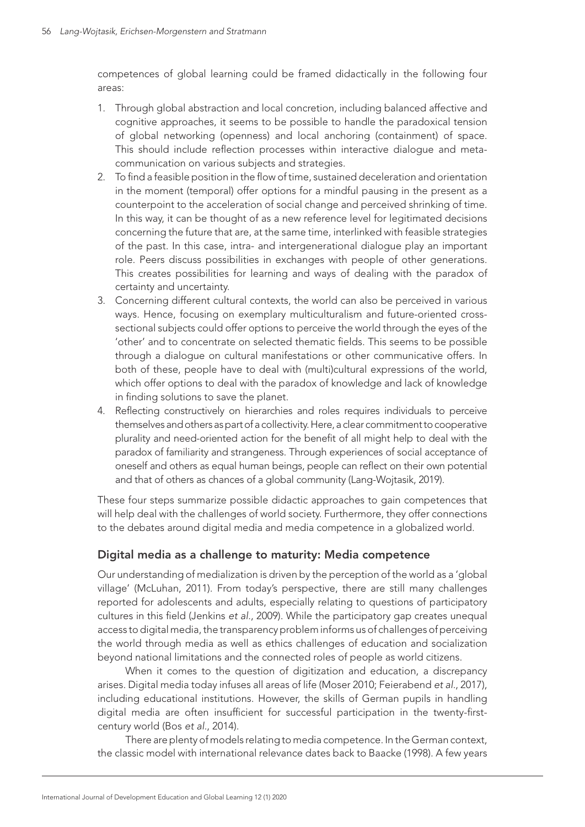competences of global learning could be framed didactically in the following four areas:

- 1. Through global abstraction and local concretion, including balanced affective and cognitive approaches, it seems to be possible to handle the paradoxical tension of global networking (openness) and local anchoring (containment) of space. This should include reflection processes within interactive dialogue and metacommunication on various subjects and strategies.
- 2. To find a feasible position in the flow of time, sustained deceleration and orientation in the moment (temporal) offer options for a mindful pausing in the present as a counterpoint to the acceleration of social change and perceived shrinking of time. In this way, it can be thought of as a new reference level for legitimated decisions concerning the future that are, at the same time, interlinked with feasible strategies of the past. In this case, intra- and intergenerational dialogue play an important role. Peers discuss possibilities in exchanges with people of other generations. This creates possibilities for learning and ways of dealing with the paradox of certainty and uncertainty.
- 3. Concerning different cultural contexts, the world can also be perceived in various ways. Hence, focusing on exemplary multiculturalism and future-oriented crosssectional subjects could offer options to perceive the world through the eyes of the 'other' and to concentrate on selected thematic fields. This seems to be possible through a dialogue on cultural manifestations or other communicative offers. In both of these, people have to deal with (multi)cultural expressions of the world, which offer options to deal with the paradox of knowledge and lack of knowledge in finding solutions to save the planet.
- 4. Reflecting constructively on hierarchies and roles requires individuals to perceive themselves and others as part of a collectivity. Here, a clear commitment to cooperative plurality and need-oriented action for the benefit of all might help to deal with the paradox of familiarity and strangeness. Through experiences of social acceptance of oneself and others as equal human beings, people can reflect on their own potential and that of others as chances of a global community (Lang-Wojtasik, 2019).

These four steps summarize possible didactic approaches to gain competences that will help deal with the challenges of world society. Furthermore, they offer connections to the debates around digital media and media competence in a globalized world.

#### Digital media as a challenge to maturity: Media competence

Our understanding of medialization is driven by the perception of the world as a 'global village' (McLuhan, 2011). From today's perspective, there are still many challenges reported for adolescents and adults, especially relating to questions of participatory cultures in this field (Jenkins *et al.*, 2009). While the participatory gap creates unequal access to digital media, the transparency problem informs us of challenges of perceiving the world through media as well as ethics challenges of education and socialization beyond national limitations and the connected roles of people as world citizens.

When it comes to the question of digitization and education, a discrepancy arises. Digital media today infuses all areas of life (Moser 2010; Feierabend *et al.*, 2017), including educational institutions. However, the skills of German pupils in handling digital media are often insufficient for successful participation in the twenty-firstcentury world (Bos *et al.*, 2014).

There are plenty of models relating to media competence. In the German context, the classic model with international relevance dates back to Baacke (1998). A few years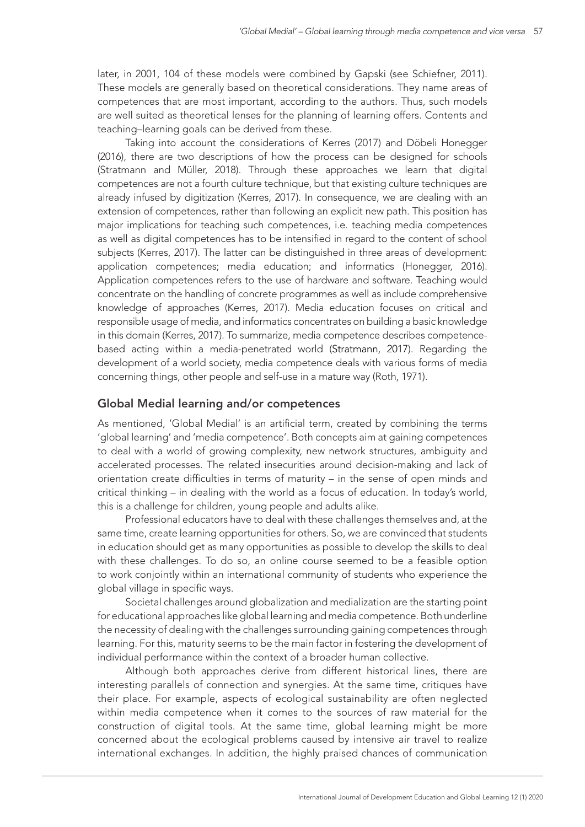later, in 2001, 104 of these models were combined by Gapski (see Schiefner, 2011). These models are generally based on theoretical considerations. They name areas of competences that are most important, according to the authors. Thus, such models are well suited as theoretical lenses for the planning of learning offers. Contents and teaching–learning goals can be derived from these.

Taking into account the considerations of Kerres (2017) and Döbeli Honegger (2016), there are two descriptions of how the process can be designed for schools (Stratmann and Müller, 2018). Through these approaches we learn that digital competences are not a fourth culture technique, but that existing culture techniques are already infused by digitization (Kerres, 2017). In consequence, we are dealing with an extension of competences, rather than following an explicit new path. This position has major implications for teaching such competences, i.e. teaching media competences as well as digital competences has to be intensified in regard to the content of school subjects (Kerres, 2017). The latter can be distinguished in three areas of development: application competences; media education; and informatics (Honegger, 2016). Application competences refers to the use of hardware and software. Teaching would concentrate on the handling of concrete programmes as well as include comprehensive knowledge of approaches (Kerres, 2017). Media education focuses on critical and responsible usage of media, and informatics concentrates on building a basic knowledge in this domain (Kerres, 2017). To summarize, media competence describes competencebased acting within a media-penetrated world (Stratmann, 2017). Regarding the development of a world society, media competence deals with various forms of media concerning things, other people and self-use in a mature way (Roth, 1971).

#### Global Medial learning and/or competences

As mentioned, 'Global Medial' is an artificial term, created by combining the terms 'global learning' and 'media competence'. Both concepts aim at gaining competences to deal with a world of growing complexity, new network structures, ambiguity and accelerated processes. The related insecurities around decision-making and lack of orientation create difficulties in terms of maturity – in the sense of open minds and critical thinking – in dealing with the world as a focus of education. In today's world, this is a challenge for children, young people and adults alike.

Professional educators have to deal with these challenges themselves and, at the same time, create learning opportunities for others. So, we are convinced that students in education should get as many opportunities as possible to develop the skills to deal with these challenges. To do so, an online course seemed to be a feasible option to work conjointly within an international community of students who experience the global village in specific ways.

Societal challenges around globalization and medialization are the starting point for educational approaches like global learning and media competence. Both underline the necessity of dealing with the challenges surrounding gaining competences through learning. For this, maturity seems to be the main factor in fostering the development of individual performance within the context of a broader human collective.

Although both approaches derive from different historical lines, there are interesting parallels of connection and synergies. At the same time, critiques have their place. For example, aspects of ecological sustainability are often neglected within media competence when it comes to the sources of raw material for the construction of digital tools. At the same time, global learning might be more concerned about the ecological problems caused by intensive air travel to realize international exchanges. In addition, the highly praised chances of communication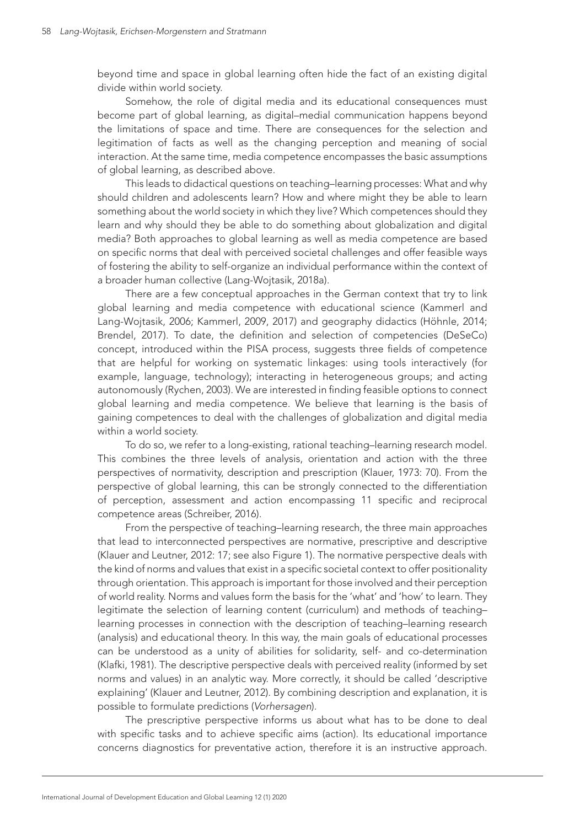beyond time and space in global learning often hide the fact of an existing digital divide within world society.

Somehow, the role of digital media and its educational consequences must become part of global learning, as digital–medial communication happens beyond the limitations of space and time. There are consequences for the selection and legitimation of facts as well as the changing perception and meaning of social interaction. At the same time, media competence encompasses the basic assumptions of global learning, as described above.

This leads to didactical questions on teaching–learning processes: What and why should children and adolescents learn? How and where might they be able to learn something about the world society in which they live? Which competences should they learn and why should they be able to do something about globalization and digital media? Both approaches to global learning as well as media competence are based on specific norms that deal with perceived societal challenges and offer feasible ways of fostering the ability to self-organize an individual performance within the context of a broader human collective (Lang-Wojtasik, 2018a).

There are a few conceptual approaches in the German context that try to link global learning and media competence with educational science (Kammerl and Lang-Wojtasik, 2006; Kammerl, 2009, 2017) and geography didactics (Höhnle, 2014; Brendel, 2017). To date, the definition and selection of competencies (DeSeCo) concept, introduced within the PISA process, suggests three fields of competence that are helpful for working on systematic linkages: using tools interactively (for example, language, technology); interacting in heterogeneous groups; and acting autonomously (Rychen, 2003). We are interested in finding feasible options to connect global learning and media competence. We believe that learning is the basis of gaining competences to deal with the challenges of globalization and digital media within a world society.

To do so, we refer to a long-existing, rational teaching–learning research model. This combines the three levels of analysis, orientation and action with the three perspectives of normativity, description and prescription (Klauer, 1973: 70). From the perspective of global learning, this can be strongly connected to the differentiation of perception, assessment and action encompassing 11 specific and reciprocal competence areas (Schreiber, 2016).

From the perspective of teaching–learning research, the three main approaches that lead to interconnected perspectives are normative, prescriptive and descriptive (Klauer and Leutner, 2012: 17; see also Figure 1). The normative perspective deals with the kind of norms and values that exist in a specific societal context to offer positionality through orientation. This approach is important for those involved and their perception of world reality. Norms and values form the basis for the 'what' and 'how' to learn. They legitimate the selection of learning content (curriculum) and methods of teaching– learning processes in connection with the description of teaching–learning research (analysis) and educational theory. In this way, the main goals of educational processes can be understood as a unity of abilities for solidarity, self- and co-determination (Klafki, 1981). The descriptive perspective deals with perceived reality (informed by set norms and values) in an analytic way. More correctly, it should be called 'descriptive explaining' (Klauer and Leutner, 2012). By combining description and explanation, it is possible to formulate predictions (*Vorhersagen*).

The prescriptive perspective informs us about what has to be done to deal with specific tasks and to achieve specific aims (action). Its educational importance concerns diagnostics for preventative action, therefore it is an instructive approach.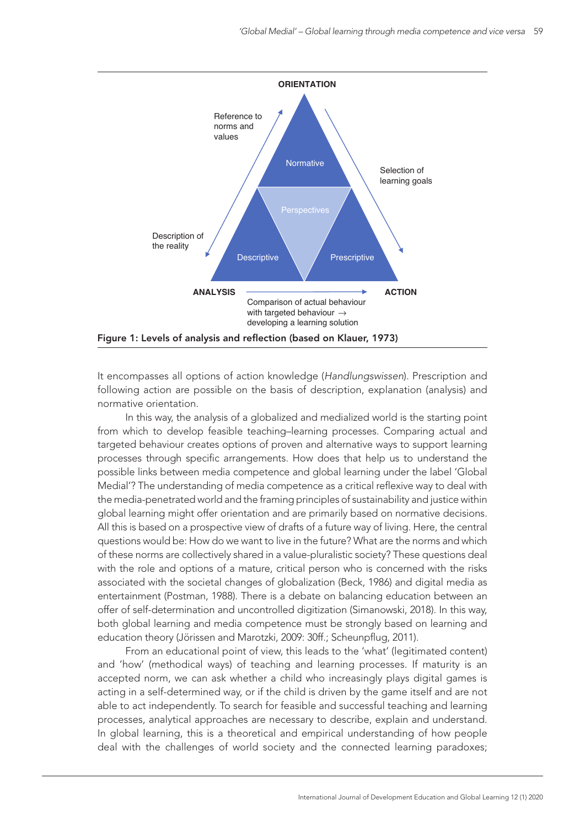

It encompasses all options of action knowledge (*Handlungswissen*). Prescription and following action are possible on the basis of description, explanation (analysis) and normative orientation.

In this way, the analysis of a globalized and medialized world is the starting point from which to develop feasible teaching–learning processes. Comparing actual and targeted behaviour creates options of proven and alternative ways to support learning processes through specific arrangements. How does that help us to understand the possible links between media competence and global learning under the label 'Global Medial'? The understanding of media competence as a critical reflexive way to deal with the media-penetrated world and the framing principles of sustainability and justice within global learning might offer orientation and are primarily based on normative decisions. All this is based on a prospective view of drafts of a future way of living. Here, the central questions would be: How do we want to live in the future? What are the norms and which of these norms are collectively shared in a value-pluralistic society? These questions deal with the role and options of a mature, critical person who is concerned with the risks associated with the societal changes of globalization (Beck, 1986) and digital media as entertainment (Postman, 1988). There is a debate on balancing education between an offer of self-determination and uncontrolled digitization (Simanowski, 2018). In this way, both global learning and media competence must be strongly based on learning and education theory (Jörissen and Marotzki, 2009: 30ff.; Scheunpflug, 2011).

From an educational point of view, this leads to the 'what' (legitimated content) and 'how' (methodical ways) of teaching and learning processes. If maturity is an accepted norm, we can ask whether a child who increasingly plays digital games is acting in a self-determined way, or if the child is driven by the game itself and are not able to act independently. To search for feasible and successful teaching and learning processes, analytical approaches are necessary to describe, explain and understand. In global learning, this is a theoretical and empirical understanding of how people deal with the challenges of world society and the connected learning paradoxes;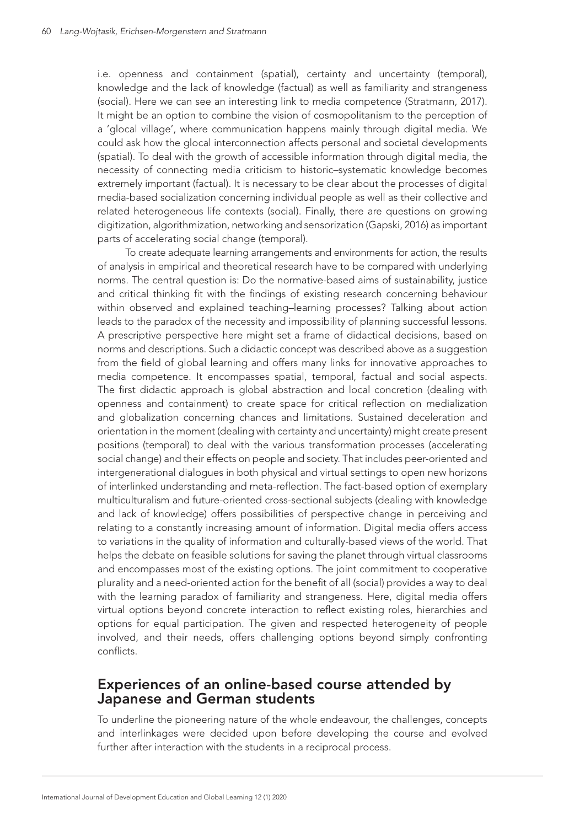i.e. openness and containment (spatial), certainty and uncertainty (temporal), knowledge and the lack of knowledge (factual) as well as familiarity and strangeness (social). Here we can see an interesting link to media competence (Stratmann, 2017). It might be an option to combine the vision of cosmopolitanism to the perception of a 'glocal village', where communication happens mainly through digital media. We could ask how the glocal interconnection affects personal and societal developments (spatial). To deal with the growth of accessible information through digital media, the necessity of connecting media criticism to historic–systematic knowledge becomes extremely important (factual). It is necessary to be clear about the processes of digital media-based socialization concerning individual people as well as their collective and related heterogeneous life contexts (social). Finally, there are questions on growing digitization, algorithmization, networking and sensorization (Gapski, 2016) as important parts of accelerating social change (temporal).

To create adequate learning arrangements and environments for action, the results of analysis in empirical and theoretical research have to be compared with underlying norms. The central question is: Do the normative-based aims of sustainability, justice and critical thinking fit with the findings of existing research concerning behaviour within observed and explained teaching–learning processes? Talking about action leads to the paradox of the necessity and impossibility of planning successful lessons. A prescriptive perspective here might set a frame of didactical decisions, based on norms and descriptions. Such a didactic concept was described above as a suggestion from the field of global learning and offers many links for innovative approaches to media competence. It encompasses spatial, temporal, factual and social aspects. The first didactic approach is global abstraction and local concretion (dealing with openness and containment) to create space for critical reflection on medialization and globalization concerning chances and limitations. Sustained deceleration and orientation in the moment (dealing with certainty and uncertainty) might create present positions (temporal) to deal with the various transformation processes (accelerating social change) and their effects on people and society. That includes peer-oriented and intergenerational dialogues in both physical and virtual settings to open new horizons of interlinked understanding and meta-reflection. The fact-based option of exemplary multiculturalism and future-oriented cross-sectional subjects (dealing with knowledge and lack of knowledge) offers possibilities of perspective change in perceiving and relating to a constantly increasing amount of information. Digital media offers access to variations in the quality of information and culturally-based views of the world. That helps the debate on feasible solutions for saving the planet through virtual classrooms and encompasses most of the existing options. The joint commitment to cooperative plurality and a need-oriented action for the benefit of all (social) provides a way to deal with the learning paradox of familiarity and strangeness. Here, digital media offers virtual options beyond concrete interaction to reflect existing roles, hierarchies and options for equal participation. The given and respected heterogeneity of people involved, and their needs, offers challenging options beyond simply confronting conflicts.

### Experiences of an online-based course attended by Japanese and German students

To underline the pioneering nature of the whole endeavour, the challenges, concepts and interlinkages were decided upon before developing the course and evolved further after interaction with the students in a reciprocal process.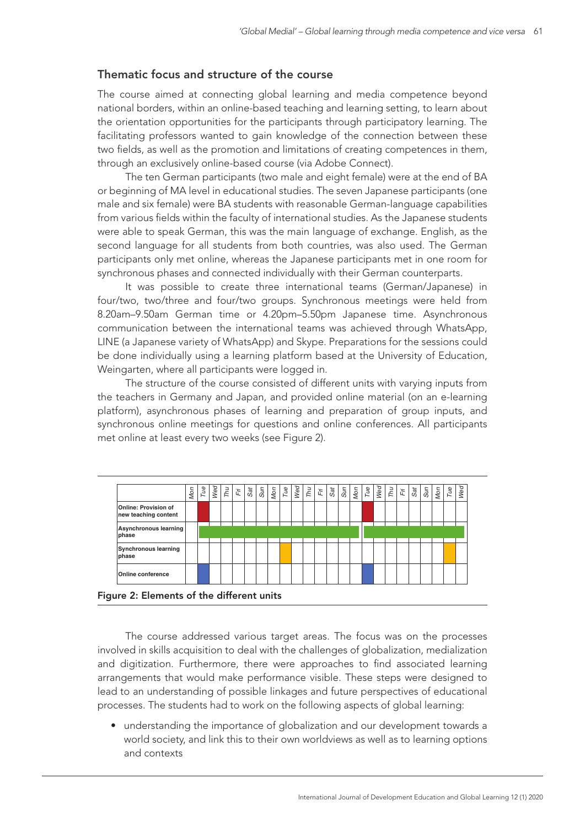#### Thematic focus and structure of the course

The course aimed at connecting global learning and media competence beyond national borders, within an online-based teaching and learning setting, to learn about the orientation opportunities for the participants through participatory learning. The facilitating professors wanted to gain knowledge of the connection between these two fields, as well as the promotion and limitations of creating competences in them, through an exclusively online-based course (via Adobe Connect).

The ten German participants (two male and eight female) were at the end of BA or beginning of MA level in educational studies. The seven Japanese participants (one male and six female) were BA students with reasonable German-language capabilities from various fields within the faculty of international studies. As the Japanese students were able to speak German, this was the main language of exchange. English, as the second language for all students from both countries, was also used. The German participants only met online, whereas the Japanese participants met in one room for synchronous phases and connected individually with their German counterparts.

It was possible to create three international teams (German/Japanese) in four/two, two/three and four/two groups. Synchronous meetings were held from 8.20am–9.50am German time or 4.20pm–5.50pm Japanese time. Asynchronous communication between the international teams was achieved through WhatsApp, LINE (a Japanese variety of WhatsApp) and Skype. Preparations for the sessions could be done individually using a learning platform based at the University of Education, Weingarten, where all participants were logged in.

The structure of the course consisted of different units with varying inputs from the teachers in Germany and Japan, and provided online material (on an e-learning platform), asynchronous phases of learning and preparation of group inputs, and synchronous online meetings for questions and online conferences. All participants met online at least every two weeks (see Figure 2).





The course addressed various target areas. The focus was on the processes involved in skills acquisition to deal with the challenges of globalization, medialization and digitization. Furthermore, there were approaches to find associated learning arrangements that would make performance visible. These steps were designed to lead to an understanding of possible linkages and future perspectives of educational processes. The students had to work on the following aspects of global learning:

• understanding the importance of globalization and our development towards a world society, and link this to their own worldviews as well as to learning options and contexts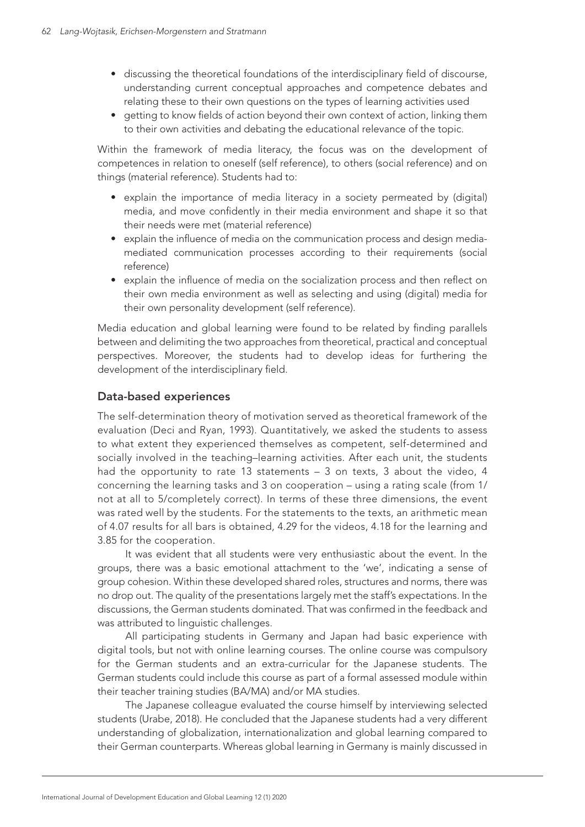- discussing the theoretical foundations of the interdisciplinary field of discourse, understanding current conceptual approaches and competence debates and relating these to their own questions on the types of learning activities used
- • getting to know fields of action beyond their own context of action, linking them to their own activities and debating the educational relevance of the topic.

Within the framework of media literacy, the focus was on the development of competences in relation to oneself (self reference), to others (social reference) and on things (material reference). Students had to:

- explain the importance of media literacy in a society permeated by (digital) media, and move confidently in their media environment and shape it so that their needs were met (material reference)
- explain the influence of media on the communication process and design mediamediated communication processes according to their requirements (social reference)
- explain the influence of media on the socialization process and then reflect on their own media environment as well as selecting and using (digital) media for their own personality development (self reference).

Media education and global learning were found to be related by finding parallels between and delimiting the two approaches from theoretical, practical and conceptual perspectives. Moreover, the students had to develop ideas for furthering the development of the interdisciplinary field.

#### Data-based experiences

The self-determination theory of motivation served as theoretical framework of the evaluation (Deci and Ryan, 1993). Quantitatively, we asked the students to assess to what extent they experienced themselves as competent, self-determined and socially involved in the teaching–learning activities. After each unit, the students had the opportunity to rate 13 statements – 3 on texts, 3 about the video, 4 concerning the learning tasks and 3 on cooperation – using a rating scale (from 1/ not at all to 5/completely correct). In terms of these three dimensions, the event was rated well by the students. For the statements to the texts, an arithmetic mean of 4.07 results for all bars is obtained, 4.29 for the videos, 4.18 for the learning and 3.85 for the cooperation.

It was evident that all students were very enthusiastic about the event. In the groups, there was a basic emotional attachment to the 'we', indicating a sense of group cohesion. Within these developed shared roles, structures and norms, there was no drop out. The quality of the presentations largely met the staff's expectations. In the discussions, the German students dominated. That was confirmed in the feedback and was attributed to linguistic challenges.

All participating students in Germany and Japan had basic experience with digital tools, but not with online learning courses. The online course was compulsory for the German students and an extra-curricular for the Japanese students. The German students could include this course as part of a formal assessed module within their teacher training studies (BA/MA) and/or MA studies.

The Japanese colleague evaluated the course himself by interviewing selected students (Urabe, 2018). He concluded that the Japanese students had a very different understanding of globalization, internationalization and global learning compared to their German counterparts. Whereas global learning in Germany is mainly discussed in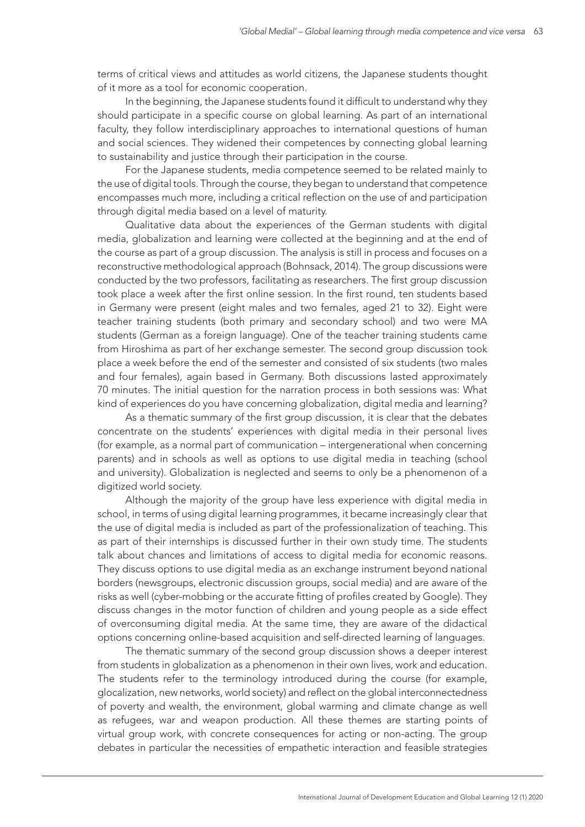terms of critical views and attitudes as world citizens, the Japanese students thought of it more as a tool for economic cooperation.

In the beginning, the Japanese students found it difficult to understand why they should participate in a specific course on global learning. As part of an international faculty, they follow interdisciplinary approaches to international questions of human and social sciences. They widened their competences by connecting global learning to sustainability and justice through their participation in the course.

For the Japanese students, media competence seemed to be related mainly to the use of digital tools. Through the course, they began to understand that competence encompasses much more, including a critical reflection on the use of and participation through digital media based on a level of maturity.

Qualitative data about the experiences of the German students with digital media, globalization and learning were collected at the beginning and at the end of the course as part of a group discussion. The analysis is still in process and focuses on a reconstructive methodological approach (Bohnsack, 2014). The group discussions were conducted by the two professors, facilitating as researchers. The first group discussion took place a week after the first online session. In the first round, ten students based in Germany were present (eight males and two females, aged 21 to 32). Eight were teacher training students (both primary and secondary school) and two were MA students (German as a foreign language). One of the teacher training students came from Hiroshima as part of her exchange semester. The second group discussion took place a week before the end of the semester and consisted of six students (two males and four females), again based in Germany. Both discussions lasted approximately 70 minutes. The initial question for the narration process in both sessions was: What kind of experiences do you have concerning globalization, digital media and learning?

As a thematic summary of the first group discussion, it is clear that the debates concentrate on the students' experiences with digital media in their personal lives (for example, as a normal part of communication – intergenerational when concerning parents) and in schools as well as options to use digital media in teaching (school and university). Globalization is neglected and seems to only be a phenomenon of a digitized world society.

Although the majority of the group have less experience with digital media in school, in terms of using digital learning programmes, it became increasingly clear that the use of digital media is included as part of the professionalization of teaching. This as part of their internships is discussed further in their own study time. The students talk about chances and limitations of access to digital media for economic reasons. They discuss options to use digital media as an exchange instrument beyond national borders (newsgroups, electronic discussion groups, social media) and are aware of the risks as well (cyber-mobbing or the accurate fitting of profiles created by Google). They discuss changes in the motor function of children and young people as a side effect of overconsuming digital media. At the same time, they are aware of the didactical options concerning online-based acquisition and self-directed learning of languages.

The thematic summary of the second group discussion shows a deeper interest from students in globalization as a phenomenon in their own lives, work and education. The students refer to the terminology introduced during the course (for example, glocalization, new networks, world society) and reflect on the global interconnectedness of poverty and wealth, the environment, global warming and climate change as well as refugees, war and weapon production. All these themes are starting points of virtual group work, with concrete consequences for acting or non-acting. The group debates in particular the necessities of empathetic interaction and feasible strategies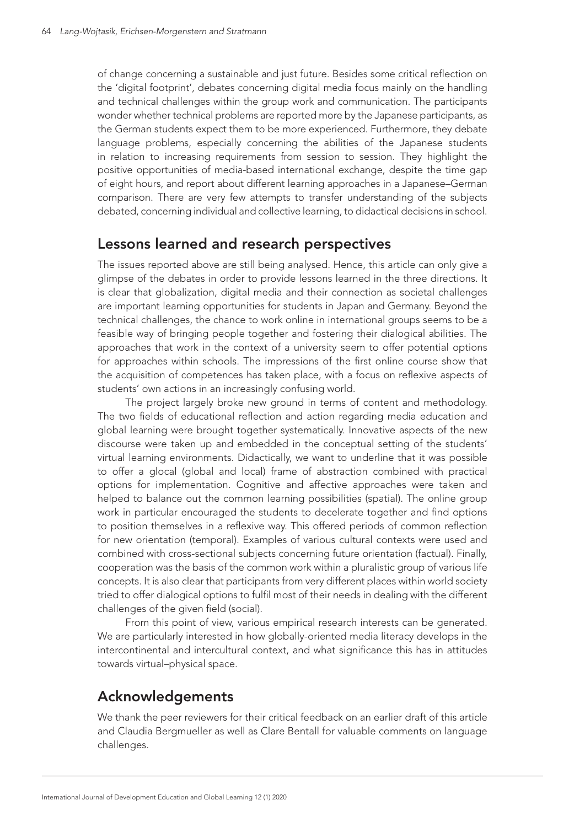of change concerning a sustainable and just future. Besides some critical reflection on the 'digital footprint', debates concerning digital media focus mainly on the handling and technical challenges within the group work and communication. The participants wonder whether technical problems are reported more by the Japanese participants, as the German students expect them to be more experienced. Furthermore, they debate language problems, especially concerning the abilities of the Japanese students in relation to increasing requirements from session to session. They highlight the positive opportunities of media-based international exchange, despite the time gap of eight hours, and report about different learning approaches in a Japanese–German comparison. There are very few attempts to transfer understanding of the subjects debated, concerning individual and collective learning, to didactical decisions in school.

### Lessons learned and research perspectives

The issues reported above are still being analysed. Hence, this article can only give a glimpse of the debates in order to provide lessons learned in the three directions. It is clear that globalization, digital media and their connection as societal challenges are important learning opportunities for students in Japan and Germany. Beyond the technical challenges, the chance to work online in international groups seems to be a feasible way of bringing people together and fostering their dialogical abilities. The approaches that work in the context of a university seem to offer potential options for approaches within schools. The impressions of the first online course show that the acquisition of competences has taken place, with a focus on reflexive aspects of students' own actions in an increasingly confusing world.

The project largely broke new ground in terms of content and methodology. The two fields of educational reflection and action regarding media education and global learning were brought together systematically. Innovative aspects of the new discourse were taken up and embedded in the conceptual setting of the students' virtual learning environments. Didactically, we want to underline that it was possible to offer a glocal (global and local) frame of abstraction combined with practical options for implementation. Cognitive and affective approaches were taken and helped to balance out the common learning possibilities (spatial). The online group work in particular encouraged the students to decelerate together and find options to position themselves in a reflexive way. This offered periods of common reflection for new orientation (temporal). Examples of various cultural contexts were used and combined with cross-sectional subjects concerning future orientation (factual). Finally, cooperation was the basis of the common work within a pluralistic group of various life concepts. It is also clear that participants from very different places within world society tried to offer dialogical options to fulfil most of their needs in dealing with the different challenges of the given field (social).

From this point of view, various empirical research interests can be generated. We are particularly interested in how globally-oriented media literacy develops in the intercontinental and intercultural context, and what significance this has in attitudes towards virtual–physical space.

## Acknowledgements

We thank the peer reviewers for their critical feedback on an earlier draft of this article and Claudia Bergmueller as well as Clare Bentall for valuable comments on language challenges.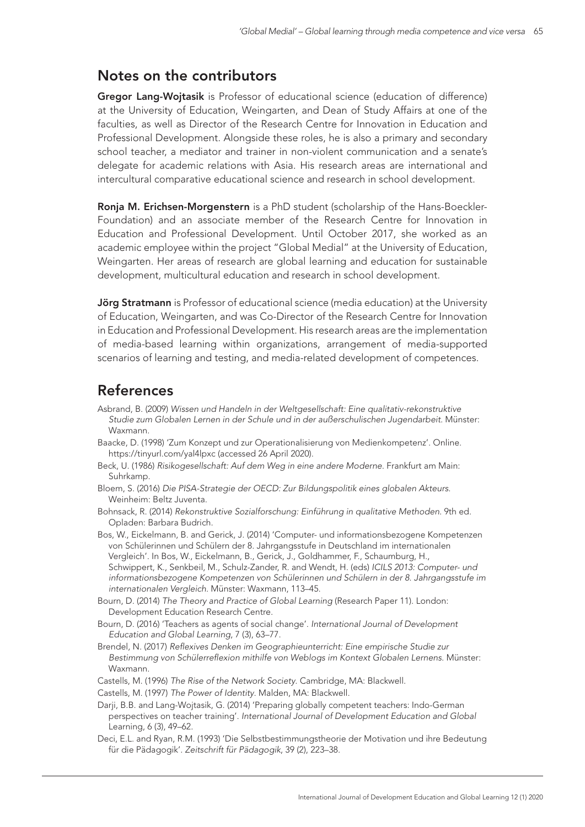### Notes on the contributors

Gregor Lang-Wojtasik is Professor of educational science (education of difference) at the University of Education, Weingarten, and Dean of Study Affairs at one of the faculties, as well as Director of the Research Centre for Innovation in Education and Professional Development. Alongside these roles, he is also a primary and secondary school teacher, a mediator and trainer in non-violent communication and a senate's delegate for academic relations with Asia. His research areas are international and intercultural comparative educational science and research in school development.

Ronja M. Erichsen-Morgenstern is a PhD student (scholarship of the Hans-Boeckler-Foundation) and an associate member of the Research Centre for Innovation in Education and Professional Development. Until October 2017, she worked as an academic employee within the project "Global Medial" at the University of Education, Weingarten. Her areas of research are global learning and education for sustainable development, multicultural education and research in school development.

Jörg Stratmann is Professor of educational science (media education) at the University of Education, Weingarten, and was Co-Director of the Research Centre for Innovation in Education and Professional Development. His research areas are the implementation of media-based learning within organizations, arrangement of media-supported scenarios of learning and testing, and media-related development of competences.

## References

- Asbrand, B. (2009) *Wissen und Handeln in der Weltgesellschaft: Eine qualitativ-rekonstruktive Studie zum Globalen Lernen in der Schule und in der außerschulischen Jugendarbeit*. Münster: Waxmann.
- Baacke, D. (1998) 'Zum Konzept und zur Operationalisierung von Medienkompetenz'. Online. <https://tinyurl.com/yal4lpxc> (accessed 26 April 2020).
- Beck, U. (1986) *Risikogesellschaft: Auf dem Weg in eine andere Moderne*. Frankfurt am Main: Suhrkamp.
- Bloem, S. (2016) *Die PISA-Strategie der OECD: Zur Bildungspolitik eines globalen Akteurs*. Weinheim: Beltz Juventa.
- Bohnsack, R. (2014) *Rekonstruktive Sozialforschung: Einführung in qualitative Methoden*. 9th ed. Opladen: Barbara Budrich.

Bos, W., Eickelmann, B. and Gerick, J. (2014) 'Computer- und informationsbezogene Kompetenzen von Schülerinnen und Schülern der 8. Jahrgangsstufe in Deutschland im internationalen Vergleich'. In Bos, W., Eickelmann, B., Gerick, J., Goldhammer, F., Schaumburg, H., Schwippert, K., Senkbeil, M., Schulz-Zander, R. and Wendt, H. (eds) *ICILS 2013: Computer- und informationsbezogene Kompetenzen von Schülerinnen und Schülern in der 8. Jahrgangsstufe im internationalen Vergleich*. Münster: Waxmann, 113–45.

- Bourn, D. (2014) *The Theory and Practice of Global Learning* (Research Paper 11). London: Development Education Research Centre.
- Bourn, D. (2016) 'Teachers as agents of social change'. *International Journal of Development Education and Global Learning*, 7 (3), 63–77.
- Brendel, N. (2017) *Reflexives Denken im Geographieunterricht: Eine empirische Studie zur Bestimmung von Schülerreflexion mithilfe von Weblogs im Kontext Globalen Lernens*. Münster: Waxmann.
- Castells, M. (1996) *The Rise of the Network Society*. Cambridge, MA: Blackwell.
- Castells, M. (1997) *The Power of Identity*. Malden, MA: Blackwell.
- Darji, B.B. and Lang-Wojtasik, G. (2014) 'Preparing globally competent teachers: Indo-German perspectives on teacher training'. *International Journal of Development Education and Global*  Learning, 6 (3), 49–62.
- Deci, E.L. and Ryan, R.M. (1993) 'Die Selbstbestimmungstheorie der Motivation und ihre Bedeutung für die Pädagogik'. *Zeitschrift für Pädagogik*, 39 (2), 223–38.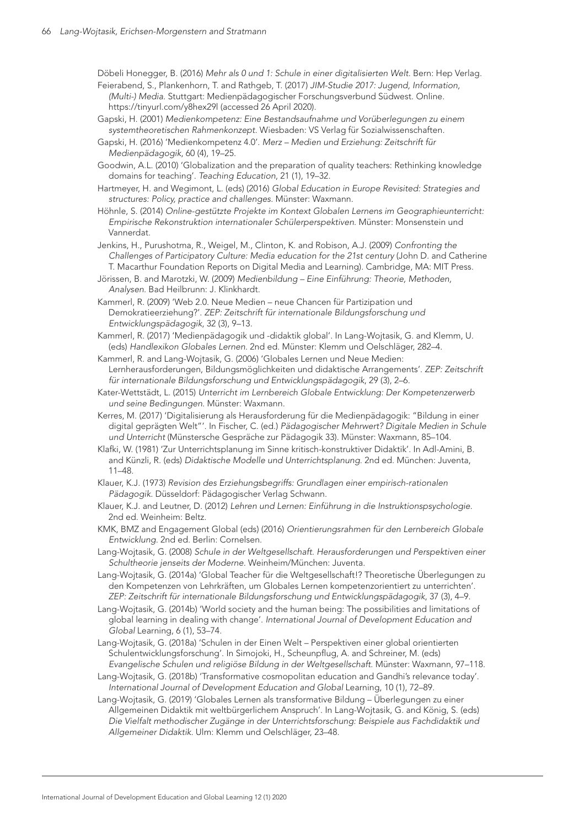Döbeli Honegger, B. (2016) *Mehr als 0 und 1: Schule in einer digitalisierten Welt*. Bern: Hep Verlag. Feierabend, S., Plankenhorn, T. and Rathgeb, T. (2017) *JIM-Studie 2017: Jugend, Information, (Multi-) Media*. Stuttgart: Medienpädagogischer Forschungsverbund Südwest. Online.

- <https://tinyurl.com/y8hex29l> (accessed 26 April 2020). Gapski, H. (2001) *Medienkompetenz: Eine Bestandsaufnahme und Vorüberlegungen zu einem*
- *systemtheoretischen Rahmenkonzept*. Wiesbaden: VS Verlag für Sozialwissenschaften. Gapski, H. (2016) 'Medienkompetenz 4.0'. *Merz – Medien und Erziehung: Zeitschrift für*
- *Medienpädagogik*, 60 (4), 19–25. Goodwin, A.L. (2010) 'Globalization and the preparation of quality teachers: Rethinking knowledge domains for teaching'. *Teaching Education*, 21 (1), 19–32.
- Hartmeyer, H. and Wegimont, L. (eds) (2016) *Global Education in Europe Revisited: Strategies and structures: Policy, practice and challenges*. Münster: Waxmann.
- Höhnle, S. (2014) *Online-gestützte Projekte im Kontext Globalen Lernens im Geographieunterricht: Empirische Rekonstruktion internationaler Schülerperspektiven*. Münster: Monsenstein und Vannerdat.
- Jenkins, H., Purushotma, R., Weigel, M., Clinton, K. and Robison, A.J. (2009) *Confronting the Challenges of Participatory Culture: Media education for the 21st century* (John D. and Catherine T. Macarthur Foundation Reports on Digital Media and Learning). Cambridge, MA: MIT Press.
- Jörissen, B. and Marotzki, W. (2009) *Medienbildung Eine Einführung: Theorie, Methoden, Analysen*. Bad Heilbrunn: J. Klinkhardt.
- Kammerl, R. (2009) 'Web 2.0. Neue Medien neue Chancen für Partizipation und Demokratieerziehung?'. *ZEP: Zeitschrift für internationale Bildungsforschung und Entwicklungspädagogik*, 32 (3), 9–13.
- Kammerl, R. (2017) 'Medienpädagogik und -didaktik global'. In Lang-Wojtasik, G. and Klemm, U. (eds) *Handlexikon Globales Lernen*. 2nd ed. Münster: Klemm und Oelschläger, 282–4.
- Kammerl, R. and Lang-Wojtasik, G. (2006) 'Globales Lernen und Neue Medien: Lernherausforderungen, Bildungsmöglichkeiten und didaktische Arrangements'. *ZEP: Zeitschrift für internationale Bildungsforschung und Entwicklungspädagogik*, 29 (3), 2–6.
- Kater-Wettstädt, L. (2015) *Unterricht im Lernbereich Globale Entwicklung: Der Kompetenzerwerb und seine Bedingungen*. Münster: Waxmann.
- Kerres, M. (2017) 'Digitalisierung als Herausforderung für die Medienpädagogik: "Bildung in einer digital geprägten Welt"'. In Fischer, C. (ed.) *Pädagogischer Mehrwert? Digitale Medien in Schule und Unterricht* (Münstersche Gespräche zur Pädagogik 33). Münster: Waxmann, 85–104.
- Klafki, W. (1981) 'Zur Unterrichtsplanung im Sinne kritisch-konstruktiver Didaktik'. In Adl-Amini, B. and Künzli, R. (eds) *Didaktische Modelle und Unterrichtsplanung*. 2nd ed. München: Juventa, 11–48.
- Klauer, K.J. (1973) *Revision des Erziehungsbegriffs: Grundlagen einer empirisch-rationalen Pädagogik*. Düsseldorf: Pädagogischer Verlag Schwann.
- Klauer, K.J. and Leutner, D. (2012) *Lehren und Lernen: Einführung in die Instruktionspsychologie*. 2nd ed. Weinheim: Beltz.
- KMK, BMZ and Engagement Global (eds) (2016) *Orientierungsrahmen für den Lernbereich Globale Entwicklung*. 2nd ed. Berlin: Cornelsen.
- Lang-Wojtasik, G. (2008) *Schule in der Weltgesellschaft. Herausforderungen und Perspektiven einer Schultheorie jenseits der Moderne*. Weinheim/München: Juventa.
- Lang-Wojtasik, G. (2014a) 'Global Teacher für die Weltgesellschaft!? Theoretische Überlegungen zu den Kompetenzen von Lehrkräften, um Globales Lernen kompetenzorientiert zu unterrichten'. *ZEP: Zeitschrift für internationale Bildungsforschung und Entwicklungspädagogik*, 37 (3), 4–9.
- Lang-Wojtasik, G. (2014b) 'World society and the human being: The possibilities and limitations of global learning in dealing with change'. *International Journal of Development Education and Global* Learning, 6 (1), 53–74.
- Lang-Wojtasik, G. (2018a) 'Schulen in der Einen Welt Perspektiven einer global orientierten Schulentwicklungsforschung'. In Simojoki, H., Scheunpflug, A. and Schreiner, M. (eds) *Evangelische Schulen und religiöse Bildung in der Weltgesellschaft*. Münster: Waxmann, 97–118.
- Lang-Wojtasik, G. (2018b) 'Transformative cosmopolitan education and Gandhi's relevance today'. *International Journal of Development Education and Global Learning, 10 (1), 72–89.*
- Lang-Wojtasik, G. (2019) 'Globales Lernen als transformative Bildung Überlegungen zu einer Allgemeinen Didaktik mit weltbürgerlichem Anspruch'. In Lang-Wojtasik, G. and König, S. (eds) *Die Vielfalt methodischer Zugänge in der Unterrichtsforschung: Beispiele aus Fachdidaktik und Allgemeiner Didaktik*. Ulm: Klemm und Oelschläger, 23–48.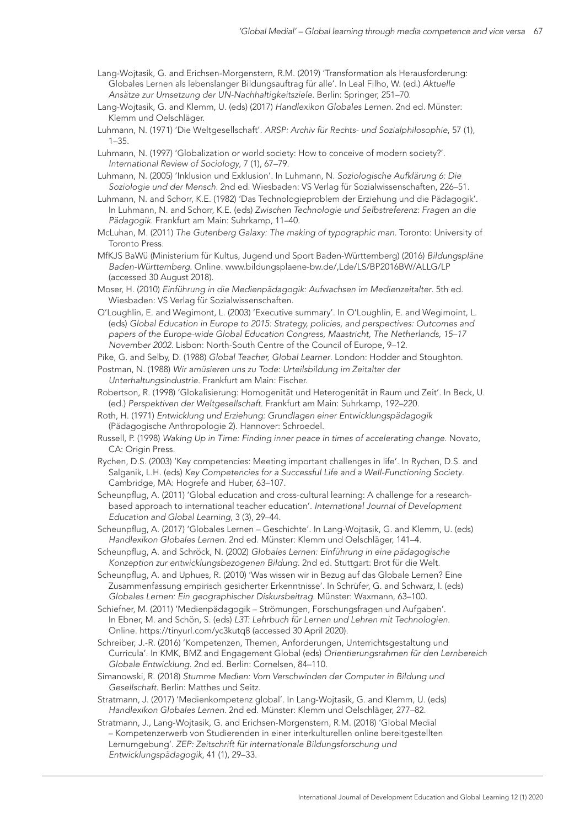- Lang-Wojtasik, G. and Erichsen-Morgenstern, R.M. (2019) 'Transformation als Herausforderung: Globales Lernen als lebenslanger Bildungsauftrag für alle'. In Leal Filho, W. (ed.) *Aktuelle Ansätze zur Umsetzung der UN-Nachhaltigkeitsziele*. Berlin: Springer, 251–70.
- Lang-Wojtasik, G. and Klemm, U. (eds) (2017) *Handlexikon Globales Lernen*. 2nd ed. Münster: Klemm und Oelschläger.
- Luhmann, N. (1971) 'Die Weltgesellschaft'. *ARSP: Archiv für Rechts- und Sozialphilosophie*, 57 (1), 1–35.
- Luhmann, N. (1997) 'Globalization or world society: How to conceive of modern society?'. *International Review of Sociology*, 7 (1), 67–79.
- Luhmann, N. (2005) 'Inklusion und Exklusion'. In Luhmann, N. *Soziologische Aufklärung 6: Die Soziologie und der Mensch*. 2nd ed. Wiesbaden: VS Verlag für Sozialwissenschaften, 226–51.
- Luhmann, N. and Schorr, K.E. (1982) 'Das Technologieproblem der Erziehung und die Pädagogik'. In Luhmann, N. and Schorr, K.E. (eds) *Zwischen Technologie und Selbstreferenz: Fragen an die Pädagogik*. Frankfurt am Main: Suhrkamp, 11–40.
- McLuhan, M. (2011) *The Gutenberg Galaxy: The making of typographic man*. Toronto: University of Toronto Press.
- MfKJS BaWü (Ministerium für Kultus, Jugend und Sport Baden-Württemberg) (2016) *Bildungspläne Baden-Württemberg*. Online. [www.bildungsplaene-bw.de/,Lde/LS/BP2016BW/ALLG/LP](http://www.bildungsplaene-bw.de/,Lde/LS/BP2016BW/ALLG/LP)  (accessed 30 August 2018).
- Moser, H. (2010) *Einführung in die Medienpädagogik: Aufwachsen im Medienzeitalter*. 5th ed. Wiesbaden: VS Verlag für Sozialwissenschaften.
- O'Loughlin, E. and Wegimont, L. (2003) 'Executive summary'. In O'Loughlin, E. and Wegimoint, L. (eds) *Global Education in Europe to 2015: Strategy, policies, and perspectives: Outcomes and papers of the Europe-wide Global Education Congress, Maastricht, The Netherlands, 15–17 November 2002*. Lisbon: North-South Centre of the Council of Europe, 9–12.
- Pike, G. and Selby, D. (1988) *Global Teacher, Global Learner*. London: Hodder and Stoughton.
- Postman, N. (1988) *Wir amüsieren uns zu Tode: Urteilsbildung im Zeitalter der Unterhaltungsindustrie*. Frankfurt am Main: Fischer.
- Robertson, R. (1998) 'Glokalisierung: Homogenität und Heterogenität in Raum und Zeit'. In Beck, U. (ed.) *Perspektiven der Weltgesellschaft*. Frankfurt am Main: Suhrkamp, 192–220.
- Roth, H. (1971) *Entwicklung und Erziehung: Grundlagen einer Entwicklungspädagogik* (Pädagogische Anthropologie 2). Hannover: Schroedel.
- Russell, P. (1998) *Waking Up in Time: Finding inner peace in times of accelerating change*. Novato, CA: Origin Press.
- Rychen, D.S. (2003) 'Key competencies: Meeting important challenges in life'. In Rychen, D.S. and Salganik, L.H. (eds) *Key Competencies for a Successful Life and a Well-Functioning Society*. Cambridge, MA: Hogrefe and Huber, 63–107.
- Scheunpflug, A. (2011) 'Global education and cross-cultural learning: A challenge for a researchbased approach to international teacher education'. *International Journal of Development Education and Global Learning*, 3 (3), 29–44.
- Scheunpflug, A. (2017) 'Globales Lernen Geschichte'. In Lang-Wojtasik, G. and Klemm, U. (eds) *Handlexikon Globales Lernen*. 2nd ed. Münster: Klemm und Oelschläger, 141–4.
- Scheunpflug, A. and Schröck, N. (2002) *Globales Lernen: Einführung in eine pädagogische Konzeption zur entwicklungsbezogenen Bildung*. 2nd ed. Stuttgart: Brot für die Welt.
- Scheunpflug, A. and Uphues, R. (2010) 'Was wissen wir in Bezug auf das Globale Lernen? Eine Zusammenfassung empirisch gesicherter Erkenntnisse'. In Schrüfer, G. and Schwarz, I. (eds) *Globales Lernen: Ein geographischer Diskursbeitrag*. Münster: Waxmann, 63–100.
- Schiefner, M. (2011) 'Medienpädagogik Strömungen, Forschungsfragen und Aufgaben'. In Ebner, M. and Schön, S. (eds) *L3T: Lehrbuch für Lernen und Lehren mit Technologien*. Online.<https://tinyurl.com/yc3kutq8>(accessed 30 April 2020).
- Schreiber, J.-R. (2016) 'Kompetenzen, Themen, Anforderungen, Unterrichtsgestaltung und Curricula'. In KMK, BMZ and Engagement Global (eds) *Orientierungsrahmen für den Lernbereich Globale Entwicklung*. 2nd ed. Berlin: Cornelsen, 84–110.
- Simanowski, R. (2018) *Stumme Medien: Vom Verschwinden der Computer in Bildung und Gesellschaft*. Berlin: Matthes und Seitz.
- Stratmann, J. (2017) 'Medienkompetenz global'. In Lang-Wojtasik, G. and Klemm, U. (eds) *Handlexikon Globales Lernen*. 2nd ed. Münster: Klemm und Oelschläger, 277–82.
- Stratmann, J., Lang-Wojtasik, G. and Erichsen-Morgenstern, R.M. (2018) 'Global Medial – Kompetenzerwerb von Studierenden in einer interkulturellen online bereitgestellten Lernumgebung'. *ZEP: Zeitschrift für internationale Bildungsforschung und Entwicklungspädagogik*, 41 (1), 29–33.